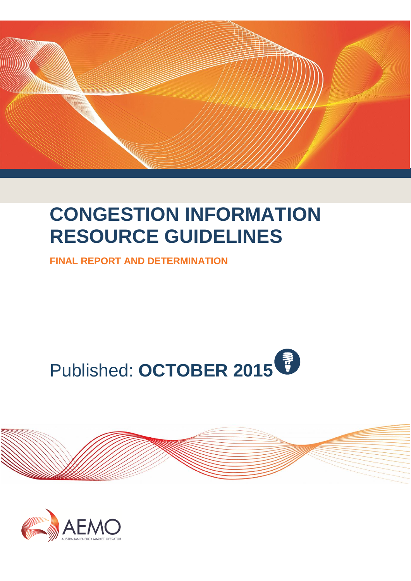

# **CONGESTION INFORMATION RESOURCE GUIDELINES**

**FINAL REPORT AND DETERMINATION**





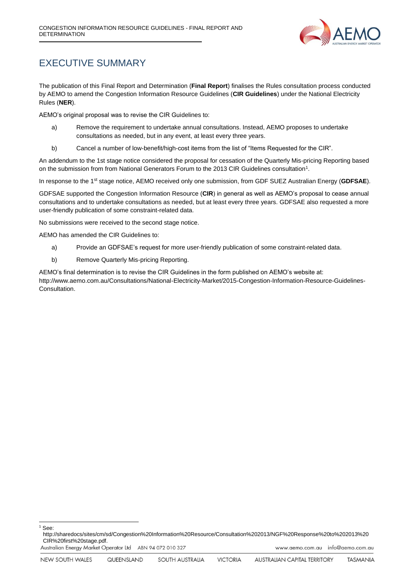

### <span id="page-1-0"></span>EXECUTIVE SUMMARY

The publication of this Final Report and Determination (**Final Report**) finalises the Rules consultation process conducted by AEMO to amend the Congestion Information Resource Guidelines (**CIR Guidelines**) under the National Electricity Rules (**NER**).

AEMO's original proposal was to revise the CIR Guidelines to:

- a) Remove the requirement to undertake annual consultations. Instead, AEMO proposes to undertake consultations as needed, but in any event, at least every three years.
- b) Cancel a number of low-benefit/high-cost items from the list of "Items Requested for the CIR".

An addendum to the 1st stage notice considered the proposal for cessation of the Quarterly Mis-pricing Reporting based on the submission from from National Generators Forum to the 2013 CIR Guidelines consultation<sup>1</sup>.

In response to the 1st stage notice, AEMO received only one submission, from GDF SUEZ Australian Energy (**GDFSAE**).

GDFSAE supported the Congestion Information Resource (**CIR**) in general as well as AEMO's proposal to cease annual consultations and to undertake consultations as needed, but at least every three years. GDFSAE also requested a more user-friendly publication of some constraint-related data.

No submissions were received to the second stage notice.

AEMO has amended the CIR Guidelines to:

- a) Provide an GDFSAE's request for more user-friendly publication of some constraint-related data.
- b) Remove Quarterly Mis-pricing Reporting.

AEMO's final determination is to revise the CIR Guidelines in the form published on AEMO's website at: http://www.aemo.com.au/Consultations/National-Electricity-Market/2015-Congestion-Information-Resource-Guidelines-Consultation.

<sup>1</sup> See:

1

http://sharedocs/sites/cm/sd/Congestion%20Information%20Resource/Consultation%202013/NGF%20Response%20to%202013%20 CIR%20first%20stage.pdf.

Australian Energy Market Operator Ltd ABN 94 072 010 327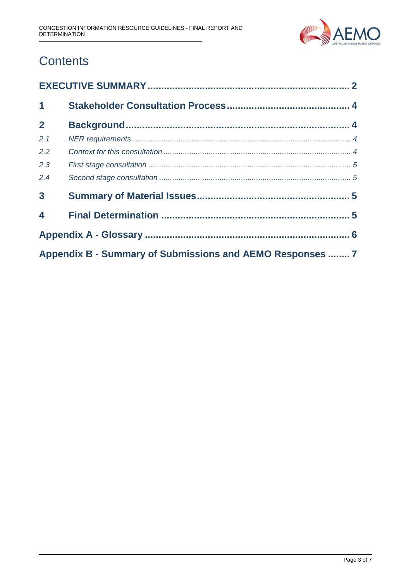

# **Contents**

| $\mathbf 1$                                               |  |  |  |  |
|-----------------------------------------------------------|--|--|--|--|
| $\overline{2}$                                            |  |  |  |  |
| 2.1                                                       |  |  |  |  |
| 2.2                                                       |  |  |  |  |
| 2.3                                                       |  |  |  |  |
| 2.4                                                       |  |  |  |  |
| $\overline{\mathbf{3}}$                                   |  |  |  |  |
| $\overline{\mathbf{4}}$                                   |  |  |  |  |
|                                                           |  |  |  |  |
| Appendix B - Summary of Submissions and AEMO Responses  7 |  |  |  |  |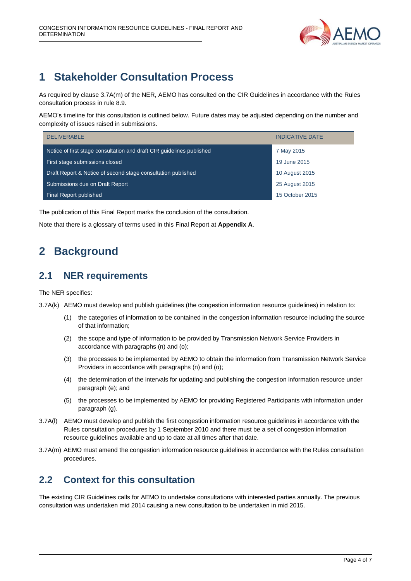

# <span id="page-3-0"></span>**1 Stakeholder Consultation Process**

As required by clause 3.7A(m) of the NER, AEMO has consulted on the CIR Guidelines in accordance with the Rules consultation process in rule 8.9.

AEMO's timeline for this consultation is outlined below. Future dates may be adjusted depending on the number and complexity of issues raised in submissions.

| <b>DELIVERABLE</b>                                                    | <b>INDICATIVE DATE</b> |
|-----------------------------------------------------------------------|------------------------|
| Notice of first stage consultation and draft CIR guidelines published | 7 May 2015             |
| First stage submissions closed                                        | 19 June 2015           |
| Draft Report & Notice of second stage consultation published          | 10 August 2015         |
| Submissions due on Draft Report                                       | 25 August 2015         |
| Final Report published                                                | 15 October 2015        |

The publication of this Final Report marks the conclusion of the consultation.

<span id="page-3-1"></span>Note that there is a glossary of terms used in this Final Report at **Appendix A**.

## **2 Background**

#### <span id="page-3-2"></span>**2.1 NER requirements**

The NER specifies:

3.7A(k) AEMO must develop and publish guidelines (the congestion information resource guidelines) in relation to:

- (1) the categories of information to be contained in the congestion information resource including the source of that information;
- (2) the scope and type of information to be provided by Transmission Network Service Providers in accordance with paragraphs (n) and (o);
- (3) the processes to be implemented by AEMO to obtain the information from Transmission Network Service Providers in accordance with paragraphs (n) and (o);
- (4) the determination of the intervals for updating and publishing the congestion information resource under paragraph (e); and
- (5) the processes to be implemented by AEMO for providing Registered Participants with information under paragraph (g).
- 3.7A(l) AEMO must develop and publish the first congestion information resource guidelines in accordance with the Rules consultation procedures by 1 September 2010 and there must be a set of congestion information resource guidelines available and up to date at all times after that date.
- 3.7A(m) AEMO must amend the congestion information resource guidelines in accordance with the Rules consultation procedures.

#### <span id="page-3-3"></span>**2.2 Context for this consultation**

The existing CIR Guidelines calls for AEMO to undertake consultations with interested parties annually. The previous consultation was undertaken mid 2014 causing a new consultation to be undertaken in mid 2015.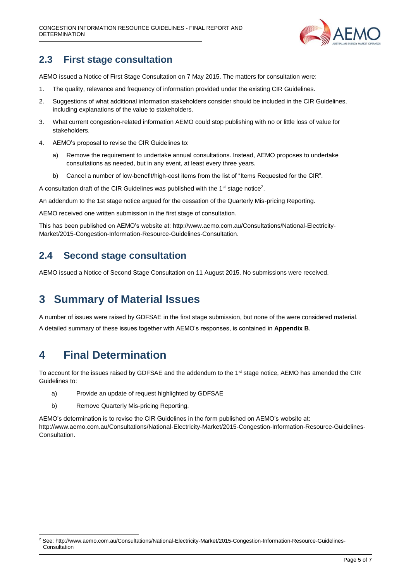

#### <span id="page-4-0"></span>**2.3 First stage consultation**

AEMO issued a Notice of First Stage Consultation on 7 May 2015. The matters for consultation were:

- 1. The quality, relevance and frequency of information provided under the existing CIR Guidelines.
- 2. Suggestions of what additional information stakeholders consider should be included in the CIR Guidelines, including explanations of the value to stakeholders.
- 3. What current congestion-related information AEMO could stop publishing with no or little loss of value for stakeholders.
- 4. AEMO's proposal to revise the CIR Guidelines to:
	- a) Remove the requirement to undertake annual consultations. Instead, AEMO proposes to undertake consultations as needed, but in any event, at least every three years.
	- b) Cancel a number of low-benefit/high-cost items from the list of "Items Requested for the CIR".

A consultation draft of the CIR Guidelines was published with the  $1<sup>st</sup>$  stage notice<sup>2</sup>.

An addendum to the 1st stage notice argued for the cessation of the Quarterly Mis-pricing Reporting.

AEMO received one written submission in the first stage of consultation.

This has been published on AEMO's website at: http://www.aemo.com.au/Consultations/National-Electricity-Market/2015-Congestion-Information-Resource-Guidelines-Consultation.

#### <span id="page-4-1"></span>**2.4 Second stage consultation**

<span id="page-4-2"></span>AEMO issued a Notice of Second Stage Consultation on 11 August 2015. No submissions were received.

# **3 Summary of Material Issues**

A number of issues were raised by GDFSAE in the first stage submission, but none of the were considered material. A detailed summary of these issues together with AEMO's responses, is contained in **Appendix B**.

# <span id="page-4-3"></span>**4 Final Determination**

1

To account for the issues raised by GDFSAE and the addendum to the 1<sup>st</sup> stage notice, AEMO has amended the CIR Guidelines to:

- a) Provide an update of request highlighted by GDFSAE
- b) Remove Quarterly Mis-pricing Reporting.

AEMO's determination is to revise the CIR Guidelines in the form published on AEMO's website at: http://www.aemo.com.au/Consultations/National-Electricity-Market/2015-Congestion-Information-Resource-Guidelines-Consultation.

<sup>2</sup> See[: http://www.aemo.com.au/Consultations/National-Electricity-Market/2015-Congestion-Information-Resource-Guidelines-](http://www.aemo.com.au/Consultations/National-Electricity-Market/2015-Congestion-Information-Resource-Guidelines-Consultation)**[Consultation](http://www.aemo.com.au/Consultations/National-Electricity-Market/2015-Congestion-Information-Resource-Guidelines-Consultation)**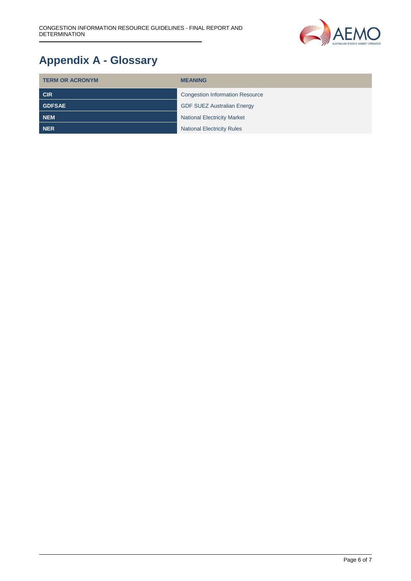

# <span id="page-5-0"></span>**Appendix A - Glossary**

| <b>TERM OR ACRONYM</b> | <b>MEANING</b>                         |  |
|------------------------|----------------------------------------|--|
| <b>CIR</b>             | <b>Congestion Information Resource</b> |  |
| <b>GDFSAE</b>          | <b>GDF SUEZ Australian Energy</b>      |  |
| <b>NEM</b>             | <b>National Electricity Market</b>     |  |
| <b>NER</b>             | <b>National Electricity Rules</b>      |  |